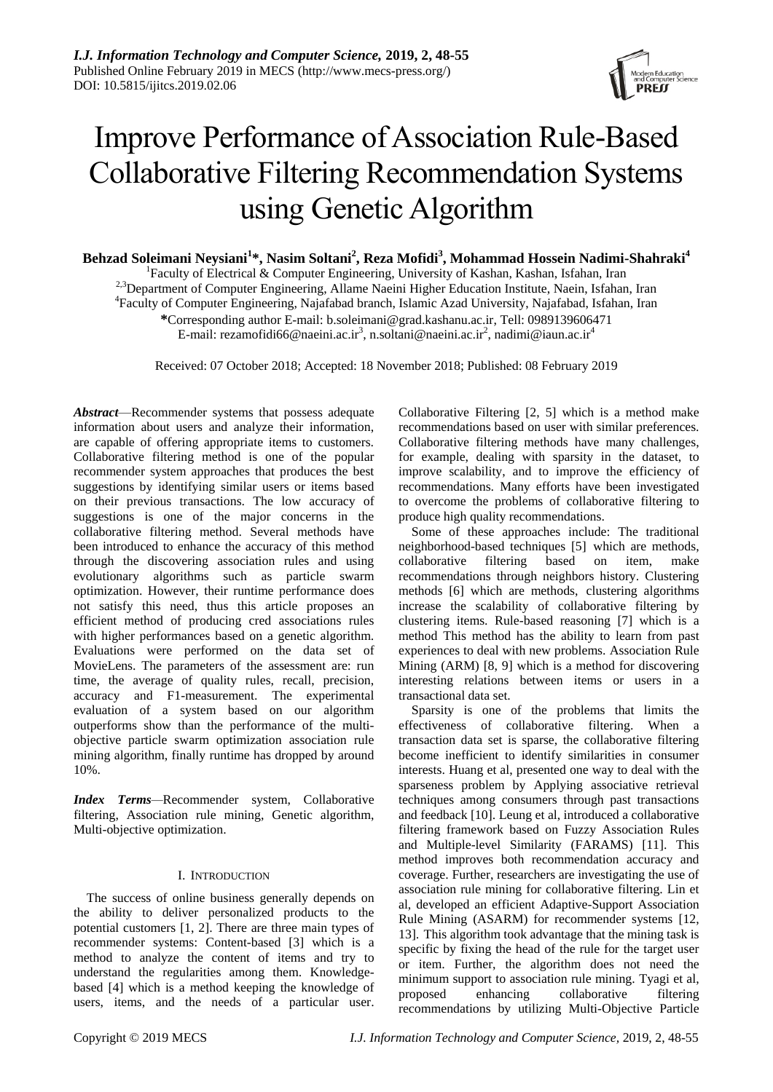

# Improve Performance of Association Rule-Based Collaborative Filtering Recommendation Systems using Genetic Algorithm

**Behzad Soleimani Neysiani<sup>1</sup> \*, Nasim Soltani<sup>2</sup> , Reza Mofidi<sup>3</sup> , Mohammad Hossein Nadimi-Shahraki<sup>4</sup>**

<sup>1</sup>Faculty of Electrical & Computer Engineering, University of Kashan, Kashan, Isfahan, Iran

<sup>2,3</sup>Department of Computer Engineering, Allame Naeini Higher Education Institute, Naein, Isfahan, Iran

4 Faculty of Computer Engineering, Najafabad branch, Islamic Azad University, Najafabad, Isfahan, Iran

**\***Corresponding author E-mail: b.soleimani@grad.kashanu.ac.ir, Tell: 0989139606471

E-mail: rezamofidi66@naeini.ac.ir<sup>3</sup>, n.soltani@naeini.ac.ir<sup>2</sup>, nadimi@iaun.ac.ir<sup>4</sup>

Received: 07 October 2018; Accepted: 18 November 2018; Published: 08 February 2019

*Abstract*—Recommender systems that possess adequate information about users and analyze their information, are capable of offering appropriate items to customers. Collaborative filtering method is one of the popular recommender system approaches that produces the best suggestions by identifying similar users or items based on their previous transactions. The low accuracy of suggestions is one of the major concerns in the collaborative filtering method. Several methods have been introduced to enhance the accuracy of this method through the discovering association rules and using evolutionary algorithms such as particle swarm optimization. However, their runtime performance does not satisfy this need, thus this article proposes an efficient method of producing cred associations rules with higher performances based on a genetic algorithm. Evaluations were performed on the data set of MovieLens. The parameters of the assessment are: run time, the average of quality rules, recall, precision, accuracy and F1-measurement. The experimental evaluation of a system based on our algorithm outperforms show than the performance of the multiobjective particle swarm optimization association rule mining algorithm, finally runtime has dropped by around 10%.

*Index Terms—*Recommender system, Collaborative filtering, Association rule mining, Genetic algorithm, Multi-objective optimization.

# I. INTRODUCTION

The success of online business generally depends on the ability to deliver personalized products to the potential customers [1, [2\]](#page-6-0). There are three main types of recommender systems: Content-based [\[3\]](#page-6-1) which is a method to analyze the content of items and try to understand the regularities among them. Knowledgebased [\[4\]](#page-6-2) which is a method keeping the knowledge of users, items, and the needs of a particular user.

Collaborative Filtering [\[2,](#page-6-0) [5\]](#page-6-3) which is a method make recommendations based on user with similar preferences. Collaborative filtering methods have many challenges, for example, dealing with sparsity in the dataset, to improve scalability, and to improve the efficiency of recommendations. Many efforts have been investigated to overcome the problems of collaborative filtering to produce high quality recommendations.

Some of these approaches include: The traditional neighborhood-based techniques [\[5\]](#page-6-3) which are methods, collaborative filtering based on item, make recommendations through neighbors history. Clustering methods [\[6\]](#page-6-4) which are methods, clustering algorithms increase the scalability of collaborative filtering by clustering items. Rule-based reasoning [\[7\]](#page-6-5) which is a method This method has the ability to learn from past experiences to deal with new problems. Association Rule Mining (ARM) [\[8,](#page-6-6) [9\]](#page-6-7) which is a method for discovering interesting relations between items or users in a transactional data set.

Sparsity is one of the problems that limits the effectiveness of collaborative filtering. When a transaction data set is sparse, the collaborative filtering become inefficient to identify similarities in consumer interests. Huang et al, presented one way to deal with the sparseness problem by Applying associative retrieval techniques among consumers through past transactions and feedback [\[10\]](#page-6-8). Leung et al, introduced a collaborative filtering framework based on Fuzzy Association Rules and Multiple-level Similarity (FARAMS) [\[11\]](#page-6-9). This method improves both recommendation accuracy and coverage. Further, researchers are investigating the use of association rule mining for collaborative filtering. Lin et al, developed an efficient Adaptive-Support Association Rule Mining (ASARM) for recommender systems [\[12,](#page-6-10) [13\]](#page-6-11). This algorithm took advantage that the mining task is specific by fixing the head of the rule for the target user or item. Further, the algorithm does not need the minimum support to association rule mining. Tyagi et al, proposed enhancing collaborative filtering recommendations by utilizing Multi-Objective Particle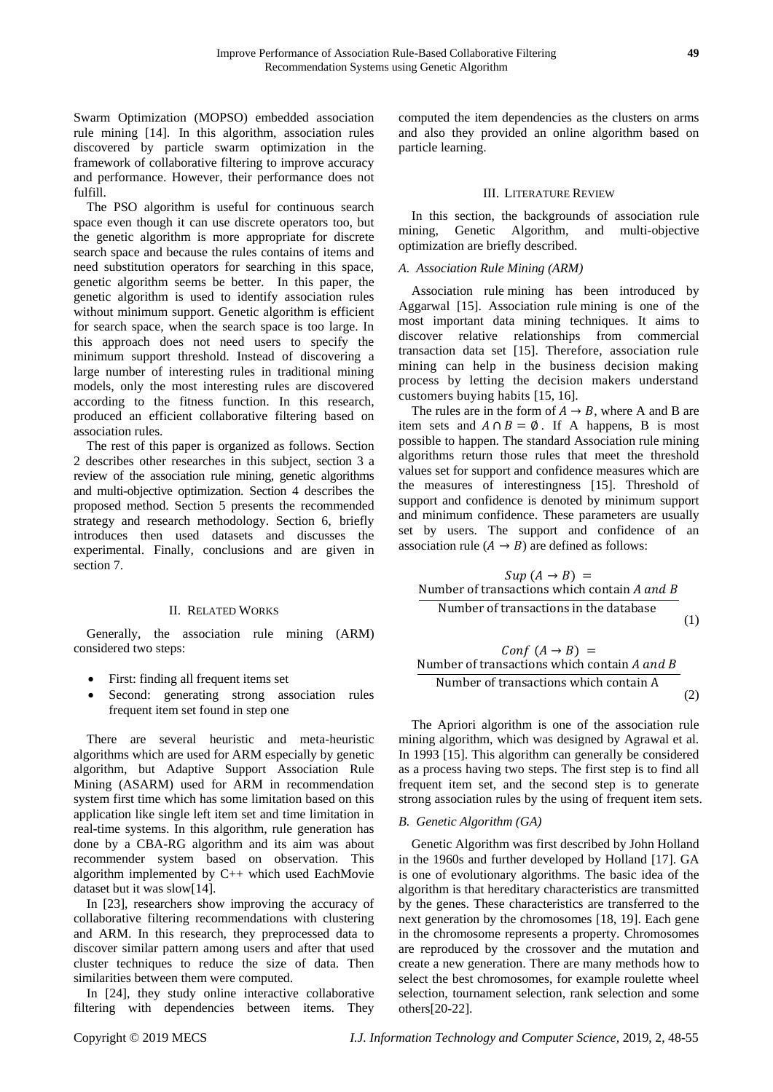Swarm Optimization (MOPSO) embedded association rule mining [\[14\]](#page-6-12). In this algorithm, association rules discovered by particle swarm optimization in the framework of collaborative filtering to improve accuracy and performance. However, their performance does not fulfill.

The PSO algorithm is useful for continuous search space even though it can use discrete operators too, but the genetic algorithm is more appropriate for discrete search space and because the rules contains of items and need substitution operators for searching in this space, genetic algorithm seems be better. In this paper, the genetic algorithm is used to identify association rules without minimum support. Genetic algorithm is efficient for search space, when the search space is too large. In this approach does not need users to specify the minimum support threshold. Instead of discovering a large number of interesting rules in traditional mining models, only the most interesting rules are discovered according to the fitness function. In this research, produced an efficient collaborative filtering based on association rules.

The rest of this paper is organized as follows. Section 2 describes other researches in this subject, section 3 a review of the association rule mining, genetic algorithms and multi-objective optimization. Section 4 describes the proposed method. Section 5 presents the recommended strategy and research methodology. Section 6, briefly introduces then used datasets and discusses the experimental. Finally, conclusions and are given in section 7.

## II. RELATED WORKS

Generally, the association rule mining (ARM) considered two steps:

- First: finding all frequent items set
- Second: generating strong association rules frequent item set found in step one

There are several heuristic and meta-heuristic algorithms which are used for ARM especially by genetic algorithm, but Adaptive Support Association Rule Mining (ASARM) used for ARM in recommendation system first time which has some limitation based on this application like single left item set and time limitation in real-time systems. In this algorithm, rule generation has done by a CBA-RG algorithm and its aim was about recommender system based on observation. This algorithm implemented by C++ which used EachMovie dataset but it was slow[\[14\]](#page-6-12).

In [\[23\]](#page-7-0), researchers show improving the accuracy of collaborative filtering recommendations with clustering and ARM. In this research, they preprocessed data to discover similar pattern among users and after that used cluster techniques to reduce the size of data. Then similarities between them were computed.

In [\[24\]](#page-7-1), they study online interactive collaborative filtering with dependencies between items. They

computed the item dependencies as the clusters on arms and also they provided an online algorithm based on particle learning.

## III. LITERATURE REVIEW

In this section, the backgrounds of association rule mining, Genetic Algorithm, and multi-objective optimization are briefly described.

# *A. Association Rule Mining (ARM)*

Association rule mining has been introduced by Aggarwal [\[15\]](#page-7-2). Association rule mining is one of the most important data mining techniques. It aims to discover relative relationships from commercial transaction data set [\[15\]](#page-7-2). Therefore, association rule mining can help in the business decision making process by letting the decision makers understand customers buying habits [\[15,](#page-7-2) [16\]](#page-7-3).

The rules are in the form of  $A \rightarrow B$ , where A and B are item sets and  $A \cap B = \emptyset$ . If A happens, B is most possible to happen. The standard Association rule mining algorithms return those rules that meet the threshold values set for support and confidence measures which are the measures of interestingness [\[15\]](#page-7-2). Threshold of support and confidence is denoted by minimum support and minimum confidence. These parameters are usually set by users. The support and confidence of an association rule  $(A \rightarrow B)$  are defined as follows:

$$
Sup (A \rightarrow B) =
$$
  
Number of transactions which contain *A* and *B*  
Number of transactions in the database (1)

 ( → ) = Number of transactions which contain Number of transactions which contain A (2)

The Apriori algorithm is one of the association rule mining algorithm, which was designed by Agrawal et al. In 1993 [\[15\]](#page-7-2). This algorithm can generally be considered as a process having two steps. The first step is to find all frequent item set, and the second step is to generate strong association rules by the using of frequent item sets.

# *B. Genetic Algorithm (GA)*

Genetic Algorithm was first described by John Holland in the 1960s and further developed by Holland [\[17\]](#page-7-4). GA is one of evolutionary algorithms. The basic idea of the algorithm is that hereditary characteristics are transmitted by the genes. These characteristics are transferred to the next generation by the chromosomes [\[18,](#page-7-5) [19\]](#page-7-6). Each gene in the chromosome represents a property. Chromosomes are reproduced by the crossover and the mutation and create a new generation. There are many methods how to select the best chromosomes, for example roulette wheel selection, tournament selection, rank selection and some others[\[20-22\]](#page-7-7).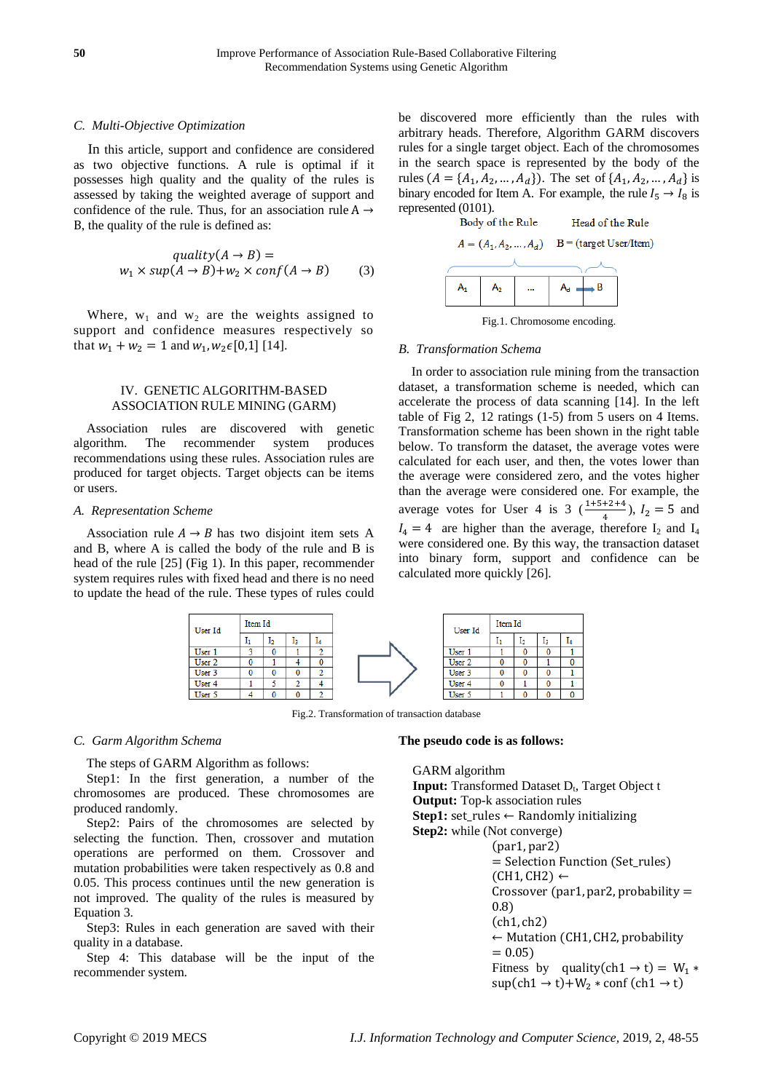## *C. Multi-Objective Optimization*

In this article, support and confidence are considered as two objective functions. A rule is optimal if it possesses high quality and the quality of the rules is assessed by taking the weighted average of support and confidence of the rule. Thus, for an association rule  $A \rightarrow$ B, the quality of the rule is defined as:

$$
quality(A \to B) =
$$
  

$$
w_1 \times sup(A \to B) + w_2 \times conf(A \to B)
$$
 (3)

Where,  $w_1$  and  $w_2$  are the weights assigned to support and confidence measures respectively so that  $w_1 + w_2 = 1$  and  $w_1, w_2 \in [0,1]$  [\[14\]](#page-6-12).

# IV. GENETIC ALGORITHM-BASED ASSOCIATION RULE MINING (GARM)

Association rules are discovered with genetic algorithm. The recommender system produces recommendations using these rules. Association rules are produced for target objects. Target objects can be items or users.

## *A. Representation Scheme*

Association rule  $A \rightarrow B$  has two disjoint item sets A and B, where A is called the body of the rule and B is head of the rule [\[25\]](#page-7-8) (Fig 1). In this paper, recommender system requires rules with fixed head and there is no need to update the head of the rule. These types of rules could





Fig.1. Chromosome encoding.

## *B. Transformation Schema*

In order to association rule mining from the transaction dataset, a transformation scheme is needed, which can accelerate the process of data scanning [\[14\]](#page-6-12). In the left table of Fig 2, 12 ratings (1-5) from 5 users on 4 Items. Transformation scheme has been shown in the right table below. To transform the dataset, the average votes were calculated for each user, and then, the votes lower than the average were considered zero, and the votes higher than the average were considered one. For example, the average votes for User 4 is 3  $(\frac{1+5+2+4}{4})$ ,  $I_2 = 5$  and  $I_4 = 4$  are higher than the average, therefore  $I_2$  and  $I_4$ were considered one. By this way, the transaction dataset into binary form, support and confidence can be calculated more quickly [\[26\]](#page-7-9).



Fig.2. Transformation of transaction database

#### *C. Garm Algorithm Schema*

The steps of GARM Algorithm as follows:

Step1: In the first generation, a number of the chromosomes are produced. These chromosomes are produced randomly.

Step2: Pairs of the chromosomes are selected by selecting the function. Then, crossover and mutation operations are performed on them. Crossover and mutation probabilities were taken respectively as 0.8 and 0.05. This process continues until the new generation is not improved. The quality of the rules is measured by Equation 3.

Step3: Rules in each generation are saved with their quality in a database.

Step 4: This database will be the input of the recommender system.

#### **The pseudo code is as follows:**

GARM algorithm Input: Transformed Dataset D<sub>t</sub>, Target Object t **Output:** Top-k association rules **Step1:** set\_rules ← Randomly initializing **Step2:** while (Not converge) (par1, par2) = Selection Function (Set\_rules)  $(CH1, CH2) \leftarrow$ Crossover (par1, par2, probability  $=$ 0.8) (ch1, ch2) ← Mutation (CH1, CH2, probability  $= 0.05$ Fitness by quality(ch1  $\rightarrow$  t) = W<sub>1</sub>  $*$  $\sup(\text{ch}1 \rightarrow t) + W_2 \cdot \text{conf}(\text{ch}1 \rightarrow t)$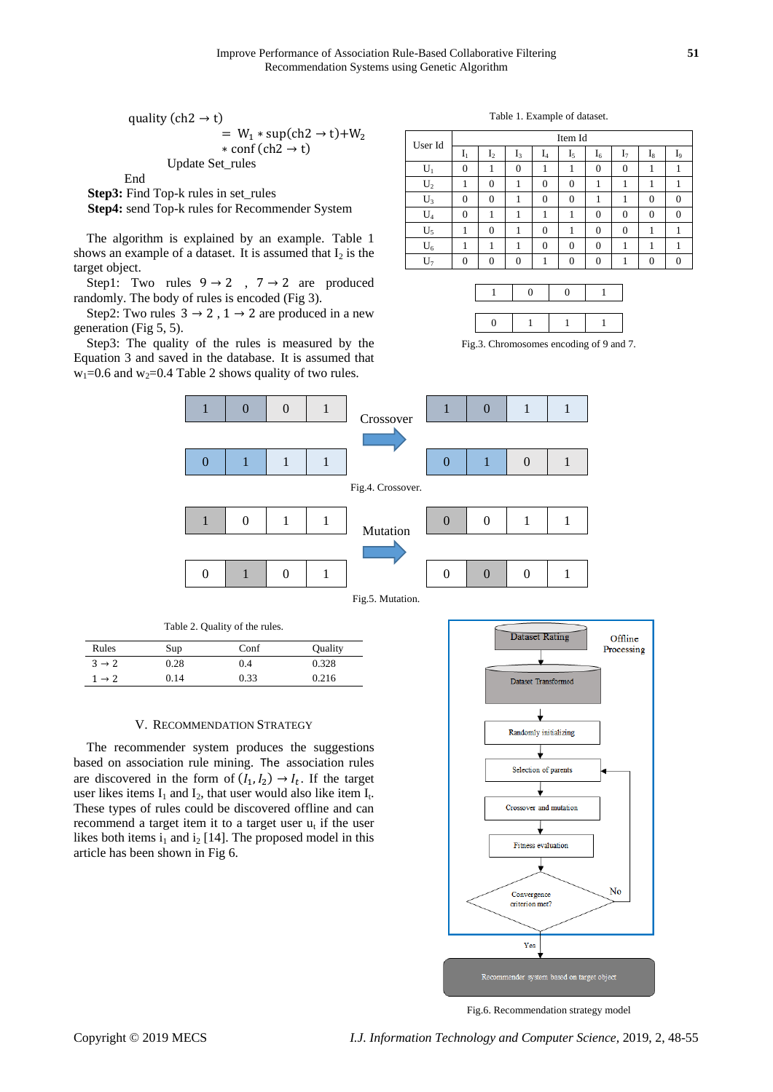quality (ch2  $\rightarrow$  t)  $= W_1 * \sup(\text{ch2} \rightarrow t) + W_2$  $*$  conf (ch2  $\rightarrow$  t) Update Set\_rules

End

**Step3:** Find Top-k rules in set rules

**Step4:** send Top-k rules for Recommender System

The algorithm is explained by an example. [Table 1](#page-3-0) shows an example of a dataset. It is assumed that  $I_2$  is the target object.

Step1: Two rules  $9 \rightarrow 2$ ,  $7 \rightarrow 2$  are produced randomly. The body of rules is encoded (Fig 3).

Step2: Two rules  $3 \rightarrow 2$ ,  $1 \rightarrow 2$  are produced in a new generation (Fig 5, 5).

Step3: The quality of the rules is measured by the Equation 3 and saved in the database. It is assumed that  $w_1=0.6$  and  $w_2=0.4$  Table 2 shows quality of two rules.

Table 1. Example of dataset.

<span id="page-3-0"></span>

| User Id | Item Id        |                |          |                |          |              |          |          |          |
|---------|----------------|----------------|----------|----------------|----------|--------------|----------|----------|----------|
|         | $\mathbf{I}_1$ | I <sub>2</sub> | $I_3$    | $\mathbf{I}_4$ | $I_5$    | $I_6$        | 17       | 18       | I9       |
| U,      | $\Omega$       |                | $\theta$ |                |          | $\mathbf{0}$ | $\Omega$ |          |          |
| $U_2$   |                | 0              |          | 0              | $\theta$ |              |          |          |          |
| $U_3$   | $\Omega$       | $\Omega$       |          | $\Omega$       | $\Omega$ |              |          | $\Omega$ | $\Omega$ |
| $U_4$   | 0              |                |          |                |          | 0            | $\theta$ | 0        | 0        |
| $U_5$   |                | 0              |          | 0              |          | $\Omega$     | $\theta$ |          |          |
| $U_6$   |                |                |          | 0              | $\Omega$ | $\Omega$     |          |          |          |
|         | $\Omega$       | 0              | $\Omega$ |                | 0        |              |          |          | 0        |

Fig.3. Chromosomes encoding of 9 and 7.



| Rules             | Sup  | Conf | Quality |
|-------------------|------|------|---------|
| $3 \rightarrow 2$ | 0.28 | 0.4  | 0.328   |
| $1 \rightarrow 2$ | 0.14 | 0.33 | 0.216   |

Table 2. Quality of the rules.

#### V. RECOMMENDATION STRATEGY

The recommender system produces the suggestions based on association rule mining. The association rules are discovered in the form of  $(I_1, I_2) \rightarrow I_t$ . If the target user likes items  $I_1$  and  $I_2$ , that user would also like item  $I_t$ . These types of rules could be discovered offline and can recommend a target item it to a target user  $u_t$  if the user likes both items  $i_1$  and  $i_2$  [\[14\]](#page-6-12). The proposed model in this article has been shown in Fig 6.



Fig.6. Recommendation strategy model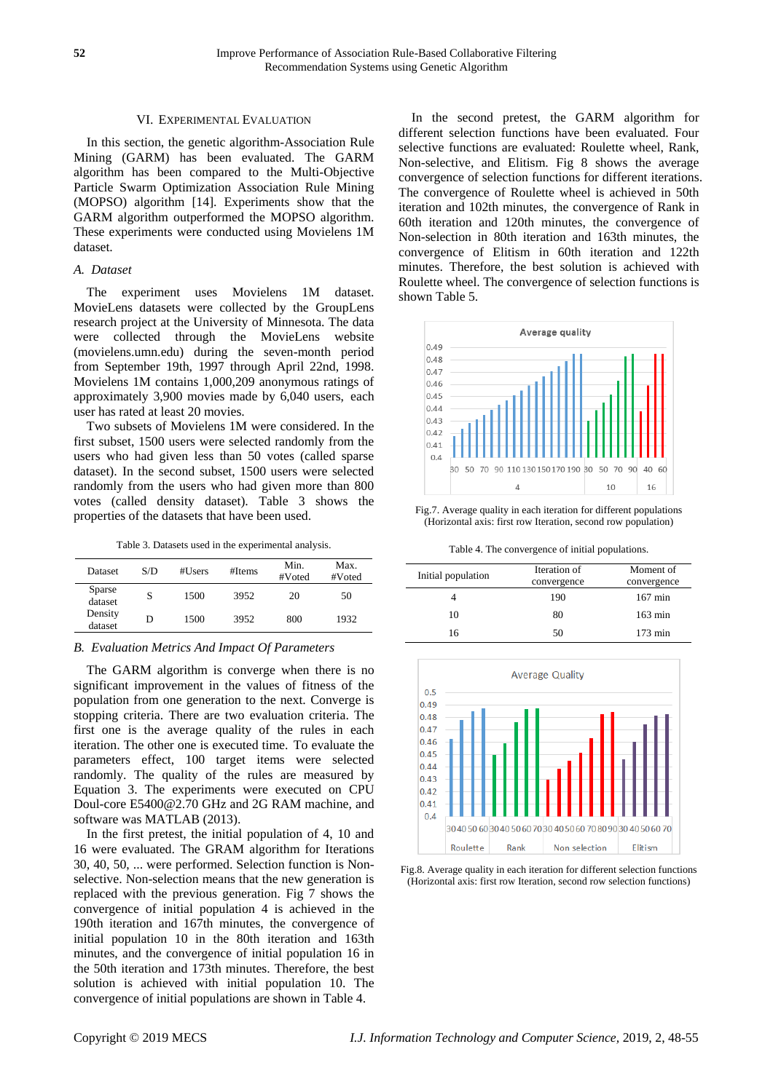# VI. EXPERIMENTAL EVALUATION

In this section, the genetic algorithm-Association Rule Mining (GARM) has been evaluated. The GARM algorithm has been compared to the Multi-Objective Particle Swarm Optimization Association Rule Mining (MOPSO) algorithm [\[14\]](#page-6-12). Experiments show that the GARM algorithm outperformed the MOPSO algorithm. These experiments were conducted using Movielens 1M dataset.

## *A. Dataset*

The experiment uses Movielens 1M dataset. MovieLens datasets were collected by the GroupLens research project at the University of Minnesota. The data were collected through the MovieLens website (movielens.umn.edu) during the seven-month period from September 19th, 1997 through April 22nd, 1998. Movielens 1M contains 1,000,209 anonymous ratings of approximately 3,900 movies made by 6,040 users, each user has rated at least 20 movies.

Two subsets of Movielens 1M were considered. In the first subset, 1500 users were selected randomly from the users who had given less than 50 votes (called sparse dataset). In the second subset, 1500 users were selected randomly from the users who had given more than 800 votes (called density dataset). Table 3 shows the properties of the datasets that have been used.

Table 3. Datasets used in the experimental analysis.

| Dataset            | S/D | #Users | #Items | Min.<br>#Voted | Max.<br>#Voted |
|--------------------|-----|--------|--------|----------------|----------------|
| Sparse<br>dataset  | S   | 1500   | 3952   | 20             | 50             |
| Density<br>dataset | D   | 1500   | 3952   | 800            | 1932           |

## *B. Evaluation Metrics And Impact Of Parameters*

The GARM algorithm is converge when there is no significant improvement in the values of fitness of the population from one generation to the next. Converge is stopping criteria. There are two evaluation criteria. The first one is the average quality of the rules in each iteration. The other one is executed time. To evaluate the parameters effect, 100 target items were selected randomly. The quality of the rules are measured by Equation 3. The experiments were executed on CPU Doul-core E5400@2.70 GHz and 2G RAM machine, and software was MATLAB (2013).

In the first pretest, the initial population of 4, 10 and 16 were evaluated. The GRAM algorithm for Iterations 30, 40, 50, ... were performed. Selection function is Nonselective. Non-selection means that the new generation is replaced with the previous generation. Fig 7 shows the convergence of initial population 4 is achieved in the 190th iteration and 167th minutes, the convergence of initial population 10 in the 80th iteration and 163th minutes, and the convergence of initial population 16 in the 50th iteration and 173th minutes. Therefore, the best solution is achieved with initial population 10. The convergence of initial populations are shown in Table 4.

In the second pretest, the GARM algorithm for different selection functions have been evaluated. Four selective functions are evaluated: Roulette wheel, Rank, Non-selective, and Elitism. Fig 8 shows the average convergence of selection functions for different iterations. The convergence of Roulette wheel is achieved in 50th iteration and 102th minutes, the convergence of Rank in 60th iteration and 120th minutes, the convergence of Non-selection in 80th iteration and 163th minutes, the convergence of Elitism in 60th iteration and 122th minutes. Therefore, the best solution is achieved with Roulette wheel. The convergence of selection functions is shown Table 5.



Fig.7. Average quality in each iteration for different populations (Horizontal axis: first row Iteration, second row population)

Table 4. The convergence of initial populations.

| Initial population | Iteration of<br>convergence | Moment of<br>convergence |
|--------------------|-----------------------------|--------------------------|
|                    | 190                         | $167 \text{ min}$        |
| 10                 | 80                          | $163 \text{ min}$        |
| 16                 | 50                          | $173 \text{ min}$        |



Fig.8. Average quality in each iteration for different selection functions (Horizontal axis: first row Iteration, second row selection functions)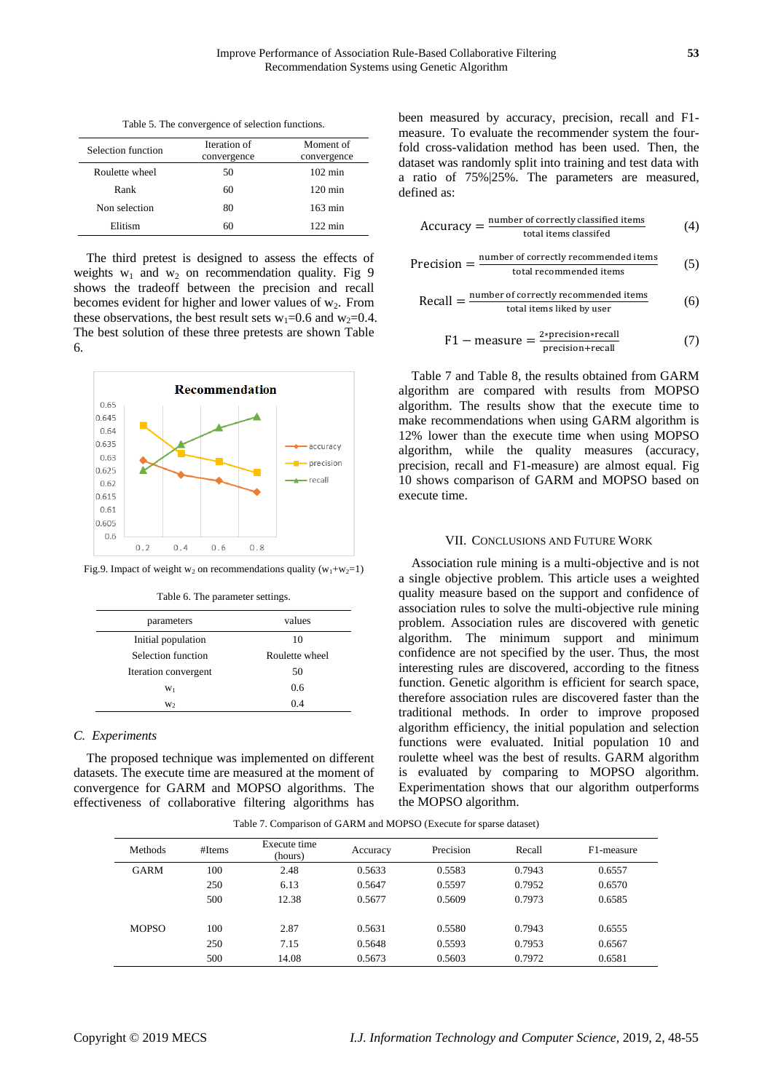Table 5. The convergence of selection functions.

| Selection function | Iteration of<br>convergence | Moment of<br>convergence |
|--------------------|-----------------------------|--------------------------|
| Roulette wheel     | 50                          | $102 \text{ min}$        |
| Rank               | 60                          | $120 \text{ min}$        |
| Non selection      | 80                          | $163 \text{ min}$        |
| Elitism            | 60                          | $122 \text{ min}$        |

The third pretest is designed to assess the effects of weights  $w_1$  and  $w_2$  on recommendation quality. Fig 9 shows the tradeoff between the precision and recall becomes evident for higher and lower values of  $w_2$ . From these observations, the best result sets  $w_1=0.6$  and  $w_2=0.4$ . The best solution of these three pretests are shown Table 6.



Fig.9. Impact of weight  $w_2$  on recommendations quality  $(w_1+w_2=1)$ 

| Table 6. The parameter settings. |  |  |
|----------------------------------|--|--|
|----------------------------------|--|--|

| parameters           | values         |
|----------------------|----------------|
| Initial population   | 10             |
| Selection function   | Roulette wheel |
| Iteration convergent | 50             |
| $W_1$                | 0.6            |
| W <sub>2</sub>       | 0 <sub>4</sub> |

## *C. Experiments*

The proposed technique was implemented on different datasets. The execute time are measured at the moment of convergence for GARM and MOPSO algorithms. The effectiveness of collaborative filtering algorithms has

been measured by accuracy, precision, recall and F1 measure. To evaluate the recommender system the fourfold cross-validation method has been used. Then, the dataset was randomly split into training and test data with a ratio of 75%|25%. The parameters are measured, defined as:

$$
Accuracy = \frac{number\ of\ correctly\ classified\ items}{total\ items\ classified} \tag{4}
$$

$$
Precision = \frac{number\ of\ correctly\ recommended\ items}{total\ recommended\ items} \tag{5}
$$

$$
Recall = \frac{number of correctly recommended items}{total items liked by user}
$$
 (6)

$$
F1 - measure = \frac{2 * precision * recall}{precision + recall}
$$
 (7)

Table 7 and Table 8, the results obtained from GARM algorithm are compared with results from MOPSO algorithm. The results show that the execute time to make recommendations when using GARM algorithm is 12% lower than the execute time when using MOPSO algorithm, while the quality measures (accuracy, precision, recall and F1-measure) are almost equal. Fig 10 shows comparison of GARM and MOPSO based on execute time.

#### VII. CONCLUSIONS AND FUTURE WORK

Association rule mining is a multi-objective and is not a single objective problem. This article uses a weighted quality measure based on the support and confidence of association rules to solve the multi-objective rule mining problem. Association rules are discovered with genetic algorithm. The minimum support and minimum confidence are not specified by the user. Thus, the most interesting rules are discovered, according to the fitness function. Genetic algorithm is efficient for search space, therefore association rules are discovered faster than the traditional methods. In order to improve proposed algorithm efficiency, the initial population and selection functions were evaluated. Initial population 10 and roulette wheel was the best of results. GARM algorithm is evaluated by comparing to MOPSO algorithm. Experimentation shows that our algorithm outperforms the MOPSO algorithm.

Table 7. Comparison of GARM and MOPSO (Execute for sparse dataset)

| <b>Methods</b> | #Items | Execute time<br>(hours) | Accuracy | Precision | Recall | F1-measure |
|----------------|--------|-------------------------|----------|-----------|--------|------------|
| <b>GARM</b>    | 100    | 2.48                    | 0.5633   | 0.5583    | 0.7943 | 0.6557     |
|                | 250    | 6.13                    | 0.5647   | 0.5597    | 0.7952 | 0.6570     |
|                | 500    | 12.38                   | 0.5677   | 0.5609    | 0.7973 | 0.6585     |
| <b>MOPSO</b>   | 100    | 2.87                    | 0.5631   | 0.5580    | 0.7943 | 0.6555     |
|                | 250    | 7.15                    | 0.5648   | 0.5593    | 0.7953 | 0.6567     |
|                | 500    | 14.08                   | 0.5673   | 0.5603    | 0.7972 | 0.6581     |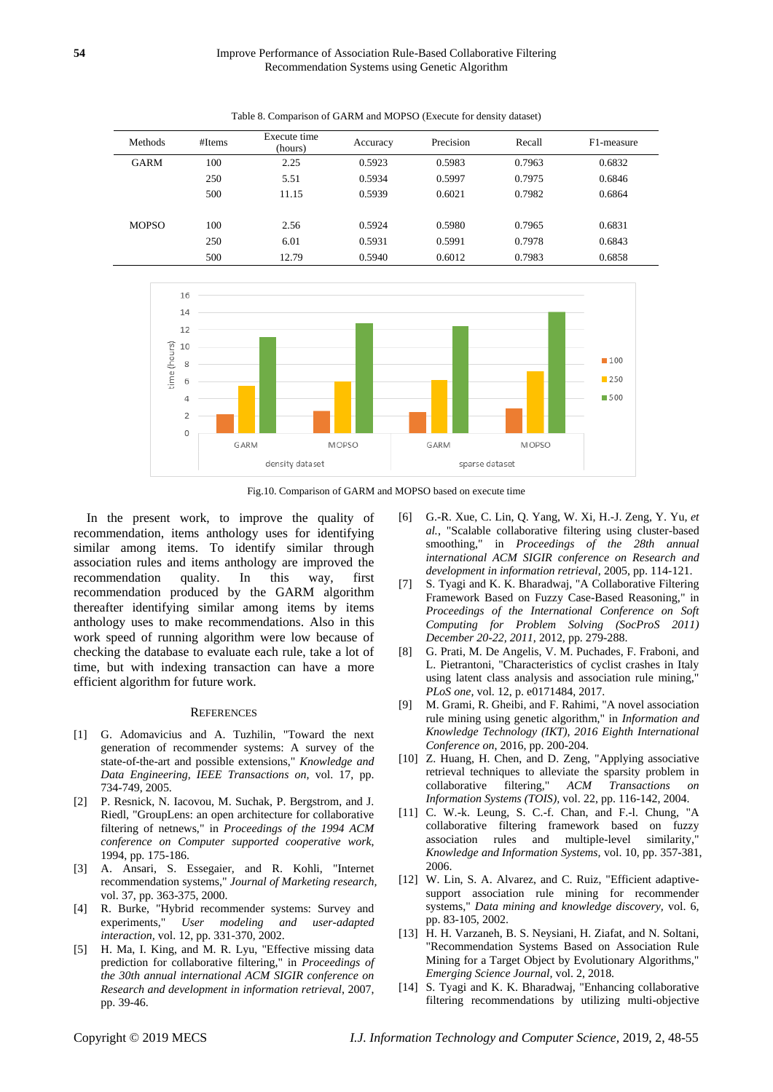Table 8. Comparison of GARM and MOPSO (Execute for density dataset)

| <b>Methods</b> | #Items | Execute time<br>(hours) | Accuracy | Precision | Recall | F1-measure |
|----------------|--------|-------------------------|----------|-----------|--------|------------|
| <b>GARM</b>    | 100    | 2.25                    | 0.5923   | 0.5983    | 0.7963 | 0.6832     |
|                | 250    | 5.51                    | 0.5934   | 0.5997    | 0.7975 | 0.6846     |
|                | 500    | 11.15                   | 0.5939   | 0.6021    | 0.7982 | 0.6864     |
| <b>MOPSO</b>   | 100    | 2.56                    | 0.5924   | 0.5980    | 0.7965 | 0.6831     |
|                | 250    | 6.01                    | 0.5931   | 0.5991    | 0.7978 | 0.6843     |
|                | 500    | 12.79                   | 0.5940   | 0.6012    | 0.7983 | 0.6858     |







In the present work, to improve the quality of recommendation, items anthology uses for identifying similar among items. To identify similar through association rules and items anthology are improved the recommendation quality. In this way, first recommendation produced by the GARM algorithm thereafter identifying similar among items by items anthology uses to make recommendations. Also in this work speed of running algorithm were low because of checking the database to evaluate each rule, take a lot of time, but with indexing transaction can have a more efficient algorithm for future work.

## **REFERENCES**

- [1] G. Adomavicius and A. Tuzhilin, "Toward the next generation of recommender systems: A survey of the state-of-the-art and possible extensions," *Knowledge and Data Engineering, IEEE Transactions on,* vol. 17, pp. 734-749, 2005.
- <span id="page-6-0"></span>[2] P. Resnick, N. Iacovou, M. Suchak, P. Bergstrom, and J. Riedl, "GroupLens: an open architecture for collaborative filtering of netnews," in *Proceedings of the 1994 ACM conference on Computer supported cooperative work*, 1994, pp. 175-186.
- <span id="page-6-1"></span>[3] A. Ansari, S. Essegaier, and R. Kohli, "Internet recommendation systems," *Journal of Marketing research,*  vol. 37, pp. 363-375, 2000.
- <span id="page-6-2"></span>[4] R. Burke, "Hybrid recommender systems: Survey and experiments," *User modeling and user-adapted interaction,* vol. 12, pp. 331-370, 2002.
- <span id="page-6-3"></span>[5] H. Ma, I. King, and M. R. Lyu, "Effective missing data prediction for collaborative filtering," in *Proceedings of the 30th annual international ACM SIGIR conference on Research and development in information retrieval*, 2007, pp. 39-46.
- <span id="page-6-4"></span>[6] G.-R. Xue, C. Lin, Q. Yang, W. Xi, H.-J. Zeng, Y. Yu*, et al.*, "Scalable collaborative filtering using cluster-based smoothing," in *Proceedings of the 28th annual international ACM SIGIR conference on Research and development in information retrieval*, 2005, pp. 114-121.
- <span id="page-6-5"></span>[7] S. Tyagi and K. K. Bharadwaj, "A Collaborative Filtering Framework Based on Fuzzy Case-Based Reasoning," in *Proceedings of the International Conference on Soft Computing for Problem Solving (SocProS 2011) December 20-22, 2011*, 2012, pp. 279-288.
- <span id="page-6-6"></span>[8] G. Prati, M. De Angelis, V. M. Puchades, F. Fraboni, and L. Pietrantoni, "Characteristics of cyclist crashes in Italy using latent class analysis and association rule mining, *PLoS one,* vol. 12, p. e0171484, 2017.
- <span id="page-6-7"></span>[9] M. Grami, R. Gheibi, and F. Rahimi, "A novel association rule mining using genetic algorithm," in *Information and Knowledge Technology (IKT), 2016 Eighth International Conference on*, 2016, pp. 200-204.
- <span id="page-6-8"></span>[10] Z. Huang, H. Chen, and D. Zeng, "Applying associative retrieval techniques to alleviate the sparsity problem in collaborative filtering," *ACM Transactions on Information Systems (TOIS),* vol. 22, pp. 116-142, 2004.
- <span id="page-6-9"></span>[11] C. W.-k. Leung, S. C.-f. Chan, and F.-l. Chung, "A collaborative filtering framework based on fuzzy association rules and multiple-level similarity," *Knowledge and Information Systems,* vol. 10, pp. 357-381, 2006.
- <span id="page-6-10"></span>[12] W. Lin, S. A. Alvarez, and C. Ruiz, "Efficient adaptivesupport association rule mining for recommender systems," *Data mining and knowledge discovery,* vol. 6, pp. 83-105, 2002.
- <span id="page-6-11"></span>[13] H. H. Varzaneh, B. S. Neysiani, H. Ziafat, and N. Soltani, "Recommendation Systems Based on Association Rule Mining for a Target Object by Evolutionary Algorithms," *Emerging Science Journal,* vol. 2, 2018.
- <span id="page-6-12"></span>[14] S. Tyagi and K. K. Bharadwaj, "Enhancing collaborative filtering recommendations by utilizing multi-objective